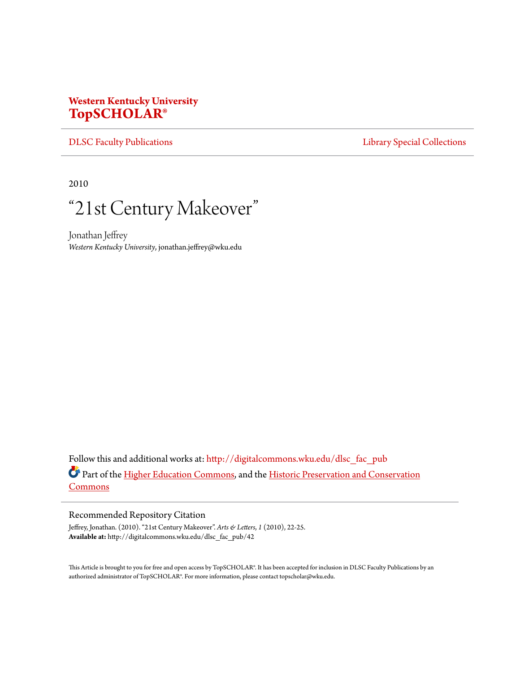## **Western Kentucky University [TopSCHOLAR®](http://digitalcommons.wku.edu?utm_source=digitalcommons.wku.edu%2Fdlsc_fac_pub%2F42&utm_medium=PDF&utm_campaign=PDFCoverPages)**

[DLSC Faculty Publications](http://digitalcommons.wku.edu/dlsc_fac_pub?utm_source=digitalcommons.wku.edu%2Fdlsc_fac_pub%2F42&utm_medium=PDF&utm_campaign=PDFCoverPages) **[Library Special Collections](http://digitalcommons.wku.edu/dlsc?utm_source=digitalcommons.wku.edu%2Fdlsc_fac_pub%2F42&utm_medium=PDF&utm_campaign=PDFCoverPages)** 

2010

## "21st Century Makeover "

Jonathan Jeffrey *Western Kentucky University*, jonathan.jeffrey@wku.edu

Follow this and additional works at: [http://digitalcommons.wku.edu/dlsc\\_fac\\_pub](http://digitalcommons.wku.edu/dlsc_fac_pub?utm_source=digitalcommons.wku.edu%2Fdlsc_fac_pub%2F42&utm_medium=PDF&utm_campaign=PDFCoverPages) Part of the [Higher Education Commons](http://network.bepress.com/hgg/discipline/1245?utm_source=digitalcommons.wku.edu%2Fdlsc_fac_pub%2F42&utm_medium=PDF&utm_campaign=PDFCoverPages), and the [Historic Preservation and Conservation](http://network.bepress.com/hgg/discipline/781?utm_source=digitalcommons.wku.edu%2Fdlsc_fac_pub%2F42&utm_medium=PDF&utm_campaign=PDFCoverPages) **[Commons](http://network.bepress.com/hgg/discipline/781?utm_source=digitalcommons.wku.edu%2Fdlsc_fac_pub%2F42&utm_medium=PDF&utm_campaign=PDFCoverPages)** 

## Recommended Repository Citation

Jeffrey, Jonathan. (2010). "21st Century Makeover". *Arts & Letters*, *1* (2010), 22-25. **Available at:** http://digitalcommons.wku.edu/dlsc\_fac\_pub/42

This Article is brought to you for free and open access by TopSCHOLAR®. It has been accepted for inclusion in DLSC Faculty Publications by an authorized administrator of TopSCHOLAR®. For more information, please contact topscholar@wku.edu.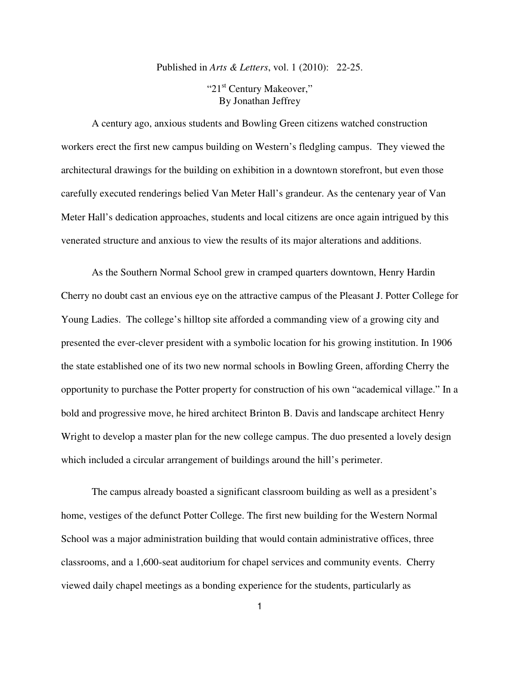## Published in *Arts & Letters*, vol. 1 (2010): 22-25.

"21<sup>st</sup> Century Makeover," By Jonathan Jeffrey

A century ago, anxious students and Bowling Green citizens watched construction workers erect the first new campus building on Western's fledgling campus. They viewed the architectural drawings for the building on exhibition in a downtown storefront, but even those carefully executed renderings belied Van Meter Hall's grandeur. As the centenary year of Van Meter Hall's dedication approaches, students and local citizens are once again intrigued by this venerated structure and anxious to view the results of its major alterations and additions.

 As the Southern Normal School grew in cramped quarters downtown, Henry Hardin Cherry no doubt cast an envious eye on the attractive campus of the Pleasant J. Potter College for Young Ladies. The college's hilltop site afforded a commanding view of a growing city and presented the ever-clever president with a symbolic location for his growing institution. In 1906 the state established one of its two new normal schools in Bowling Green, affording Cherry the opportunity to purchase the Potter property for construction of his own "academical village." In a bold and progressive move, he hired architect Brinton B. Davis and landscape architect Henry Wright to develop a master plan for the new college campus. The duo presented a lovely design which included a circular arrangement of buildings around the hill's perimeter.

 The campus already boasted a significant classroom building as well as a president's home, vestiges of the defunct Potter College. The first new building for the Western Normal School was a major administration building that would contain administrative offices, three classrooms, and a 1,600-seat auditorium for chapel services and community events. Cherry viewed daily chapel meetings as a bonding experience for the students, particularly as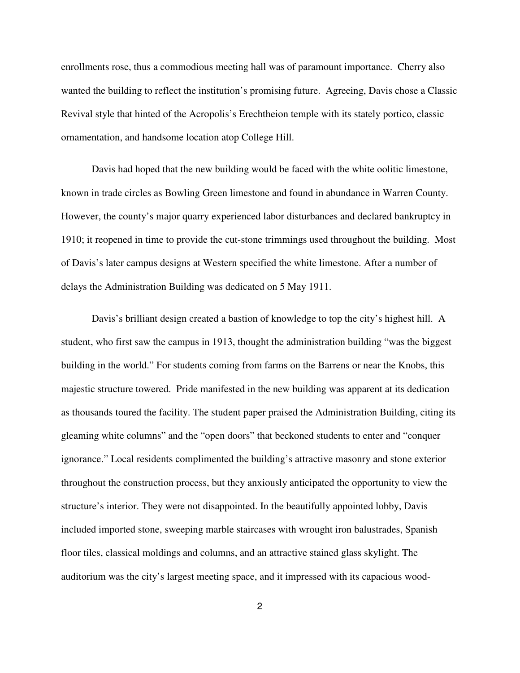enrollments rose, thus a commodious meeting hall was of paramount importance. Cherry also wanted the building to reflect the institution's promising future. Agreeing, Davis chose a Classic Revival style that hinted of the Acropolis's Erechtheion temple with its stately portico, classic ornamentation, and handsome location atop College Hill.

 Davis had hoped that the new building would be faced with the white oolitic limestone, known in trade circles as Bowling Green limestone and found in abundance in Warren County. However, the county's major quarry experienced labor disturbances and declared bankruptcy in 1910; it reopened in time to provide the cut-stone trimmings used throughout the building. Most of Davis's later campus designs at Western specified the white limestone. After a number of delays the Administration Building was dedicated on 5 May 1911.

 Davis's brilliant design created a bastion of knowledge to top the city's highest hill. A student, who first saw the campus in 1913, thought the administration building "was the biggest building in the world." For students coming from farms on the Barrens or near the Knobs, this majestic structure towered. Pride manifested in the new building was apparent at its dedication as thousands toured the facility. The student paper praised the Administration Building, citing its gleaming white columns" and the "open doors" that beckoned students to enter and "conquer ignorance." Local residents complimented the building's attractive masonry and stone exterior throughout the construction process, but they anxiously anticipated the opportunity to view the structure's interior. They were not disappointed. In the beautifully appointed lobby, Davis included imported stone, sweeping marble staircases with wrought iron balustrades, Spanish floor tiles, classical moldings and columns, and an attractive stained glass skylight. The auditorium was the city's largest meeting space, and it impressed with its capacious wood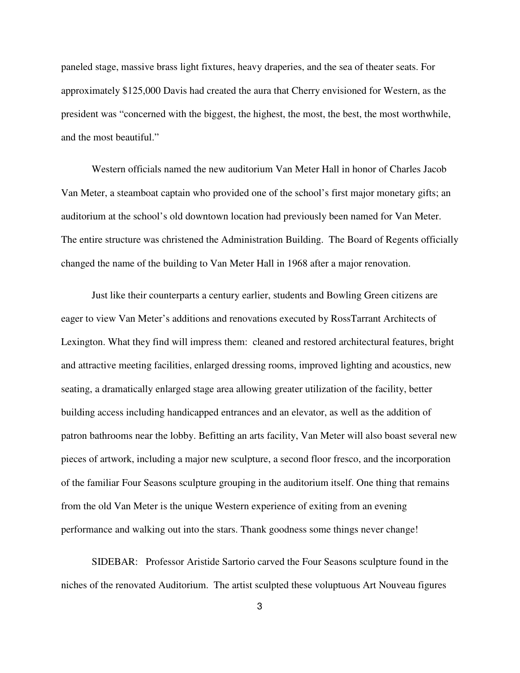paneled stage, massive brass light fixtures, heavy draperies, and the sea of theater seats. For approximately \$125,000 Davis had created the aura that Cherry envisioned for Western, as the president was "concerned with the biggest, the highest, the most, the best, the most worthwhile, and the most beautiful."

Western officials named the new auditorium Van Meter Hall in honor of Charles Jacob Van Meter, a steamboat captain who provided one of the school's first major monetary gifts; an auditorium at the school's old downtown location had previously been named for Van Meter. The entire structure was christened the Administration Building. The Board of Regents officially changed the name of the building to Van Meter Hall in 1968 after a major renovation.

Just like their counterparts a century earlier, students and Bowling Green citizens are eager to view Van Meter's additions and renovations executed by RossTarrant Architects of Lexington. What they find will impress them: cleaned and restored architectural features, bright and attractive meeting facilities, enlarged dressing rooms, improved lighting and acoustics, new seating, a dramatically enlarged stage area allowing greater utilization of the facility, better building access including handicapped entrances and an elevator, as well as the addition of patron bathrooms near the lobby. Befitting an arts facility, Van Meter will also boast several new pieces of artwork, including a major new sculpture, a second floor fresco, and the incorporation of the familiar Four Seasons sculpture grouping in the auditorium itself. One thing that remains from the old Van Meter is the unique Western experience of exiting from an evening performance and walking out into the stars. Thank goodness some things never change!

SIDEBAR: Professor Aristide Sartorio carved the Four Seasons sculpture found in the niches of the renovated Auditorium. The artist sculpted these voluptuous Art Nouveau figures